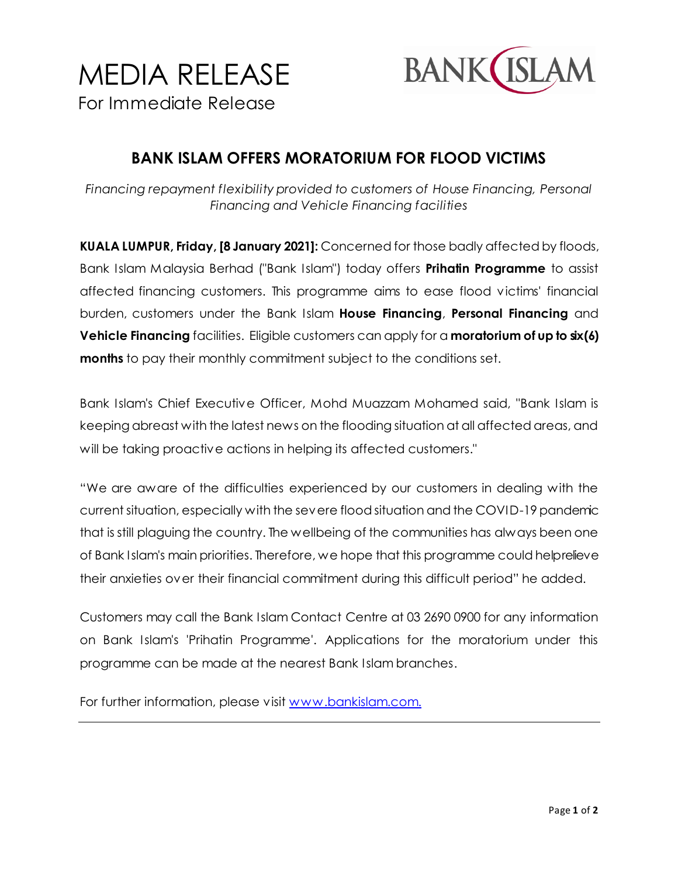



**BANK ISLAM OFFERS MORATORIUM FOR FLOOD VICTIMS**

*Financing repayment flexibility provided to customers of House Financing, Personal Financing and Vehicle Financing facilities*

**KUALA LUMPUR, Friday, [8 January 2021]:** Concerned for those badly affected by floods, Bank Islam Malaysia Berhad ("Bank Islam") today offers **Prihatin Programme** to assist affected financing customers. This programme aims to ease flood victims' financial burden, customers under the Bank Islam **House Financing**, **Personal Financing** and **Vehicle Financing** facilities. Eligible customers can apply for a **moratorium of up to six (6) months** to pay their monthly commitment subject to the conditions set.

Bank Islam's Chief Executive Officer, Mohd Muazzam Mohamed said, "Bank Islam is keeping abreast with the latest news on the flooding situation at all affected areas, and will be taking proactive actions in helping its affected customers."

"We are aware of the difficulties experienced by our customers in dealing with the current situation, especially with the severe flood situation and the COVID-19 pandemic that is still plaguing the country. The wellbeing of the communities has always been one of Bank Islam's main priorities. Therefore, we hope that this programme could help relieve their anxieties over their financial commitment during this difficult period" he added.

Customers may call the Bank Islam Contact Centre at 03 2690 0900 for any information on Bank Islam's 'Prihatin Programme'. Applications for the moratorium under this programme can be made at the nearest Bank Islam branches.

For further information, please vis[it www.bankislam.com](http://www.bankislam.com/).